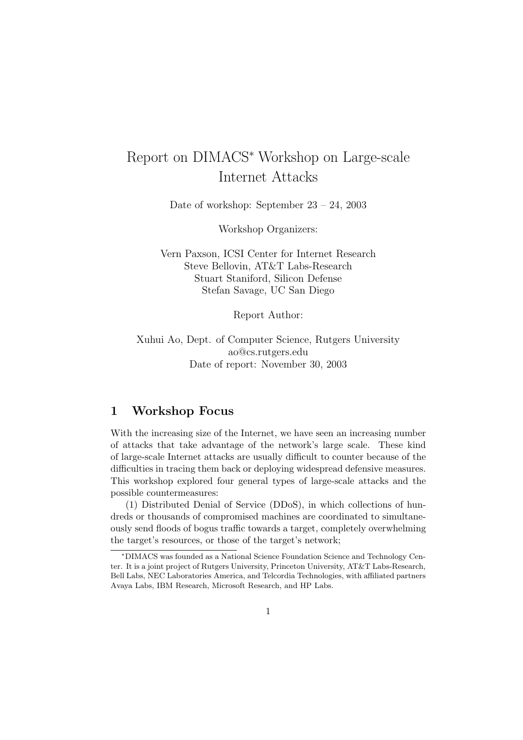# Report on DIMACS<sup>∗</sup> Workshop on Large-scale Internet Attacks

Date of workshop: September 23 – 24, 2003

Workshop Organizers:

Vern Paxson, ICSI Center for Internet Research Steve Bellovin, AT&T Labs-Research Stuart Staniford, Silicon Defense Stefan Savage, UC San Diego

Report Author:

Xuhui Ao, Dept. of Computer Science, Rutgers University ao@cs.rutgers.edu Date of report: November 30, 2003

## 1 Workshop Focus

With the increasing size of the Internet, we have seen an increasing number of attacks that take advantage of the network's large scale. These kind of large-scale Internet attacks are usually difficult to counter because of the difficulties in tracing them back or deploying widespread defensive measures. This workshop explored four general types of large-scale attacks and the possible countermeasures:

(1) Distributed Denial of Service (DDoS), in which collections of hundreds or thousands of compromised machines are coordinated to simultaneously send floods of bogus traffic towards a target, completely overwhelming the target's resources, or those of the target's network;

<sup>∗</sup>DIMACS was founded as a National Science Foundation Science and Technology Center. It is a joint project of Rutgers University, Princeton University, AT&T Labs-Research, Bell Labs, NEC Laboratories America, and Telcordia Technologies, with affiliated partners Avaya Labs, IBM Research, Microsoft Research, and HP Labs.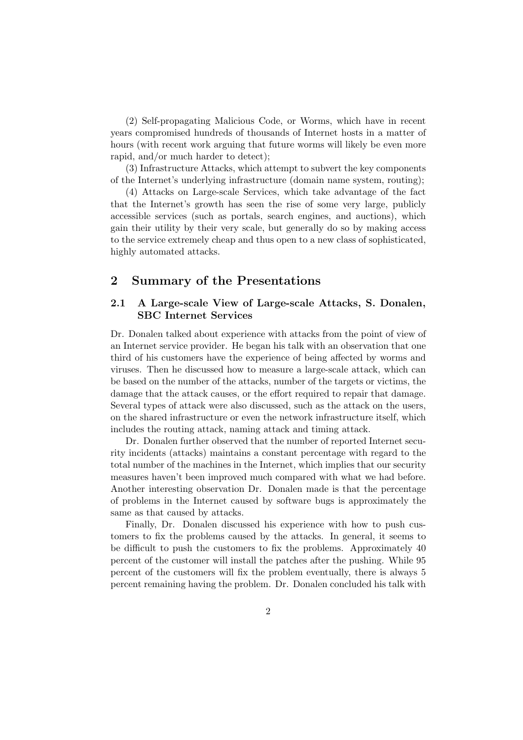(2) Self-propagating Malicious Code, or Worms, which have in recent years compromised hundreds of thousands of Internet hosts in a matter of hours (with recent work arguing that future worms will likely be even more rapid, and/or much harder to detect);

(3) Infrastructure Attacks, which attempt to subvert the key components of the Internet's underlying infrastructure (domain name system, routing);

(4) Attacks on Large-scale Services, which take advantage of the fact that the Internet's growth has seen the rise of some very large, publicly accessible services (such as portals, search engines, and auctions), which gain their utility by their very scale, but generally do so by making access to the service extremely cheap and thus open to a new class of sophisticated, highly automated attacks.

## 2 Summary of the Presentations

## 2.1 A Large-scale View of Large-scale Attacks, S. Donalen, SBC Internet Services

Dr. Donalen talked about experience with attacks from the point of view of an Internet service provider. He began his talk with an observation that one third of his customers have the experience of being affected by worms and viruses. Then he discussed how to measure a large-scale attack, which can be based on the number of the attacks, number of the targets or victims, the damage that the attack causes, or the effort required to repair that damage. Several types of attack were also discussed, such as the attack on the users, on the shared infrastructure or even the network infrastructure itself, which includes the routing attack, naming attack and timing attack.

Dr. Donalen further observed that the number of reported Internet security incidents (attacks) maintains a constant percentage with regard to the total number of the machines in the Internet, which implies that our security measures haven't been improved much compared with what we had before. Another interesting observation Dr. Donalen made is that the percentage of problems in the Internet caused by software bugs is approximately the same as that caused by attacks.

Finally, Dr. Donalen discussed his experience with how to push customers to fix the problems caused by the attacks. In general, it seems to be difficult to push the customers to fix the problems. Approximately 40 percent of the customer will install the patches after the pushing. While 95 percent of the customers will fix the problem eventually, there is always 5 percent remaining having the problem. Dr. Donalen concluded his talk with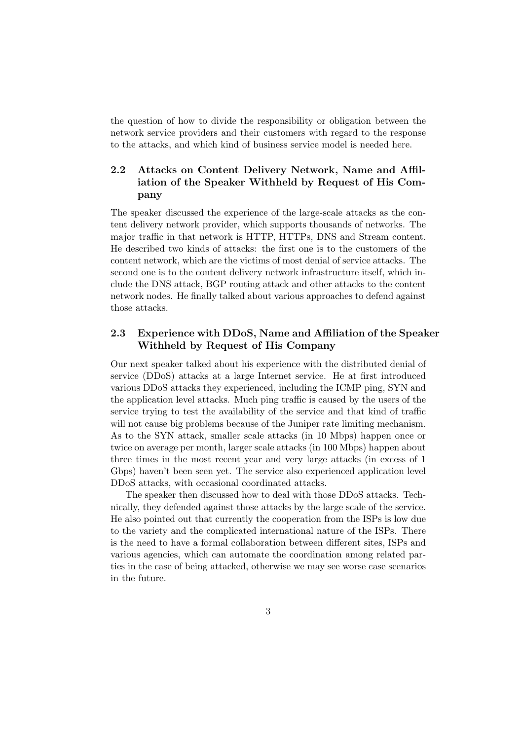the question of how to divide the responsibility or obligation between the network service providers and their customers with regard to the response to the attacks, and which kind of business service model is needed here.

## 2.2 Attacks on Content Delivery Network, Name and Affiliation of the Speaker Withheld by Request of His Company

The speaker discussed the experience of the large-scale attacks as the content delivery network provider, which supports thousands of networks. The major traffic in that network is HTTP, HTTPs, DNS and Stream content. He described two kinds of attacks: the first one is to the customers of the content network, which are the victims of most denial of service attacks. The second one is to the content delivery network infrastructure itself, which include the DNS attack, BGP routing attack and other attacks to the content network nodes. He finally talked about various approaches to defend against those attacks.

## 2.3 Experience with DDoS, Name and Affiliation of the Speaker Withheld by Request of His Company

Our next speaker talked about his experience with the distributed denial of service (DDoS) attacks at a large Internet service. He at first introduced various DDoS attacks they experienced, including the ICMP ping, SYN and the application level attacks. Much ping traffic is caused by the users of the service trying to test the availability of the service and that kind of traffic will not cause big problems because of the Juniper rate limiting mechanism. As to the SYN attack, smaller scale attacks (in 10 Mbps) happen once or twice on average per month, larger scale attacks (in 100 Mbps) happen about three times in the most recent year and very large attacks (in excess of 1 Gbps) haven't been seen yet. The service also experienced application level DDoS attacks, with occasional coordinated attacks.

The speaker then discussed how to deal with those DDoS attacks. Technically, they defended against those attacks by the large scale of the service. He also pointed out that currently the cooperation from the ISPs is low due to the variety and the complicated international nature of the ISPs. There is the need to have a formal collaboration between different sites, ISPs and various agencies, which can automate the coordination among related parties in the case of being attacked, otherwise we may see worse case scenarios in the future.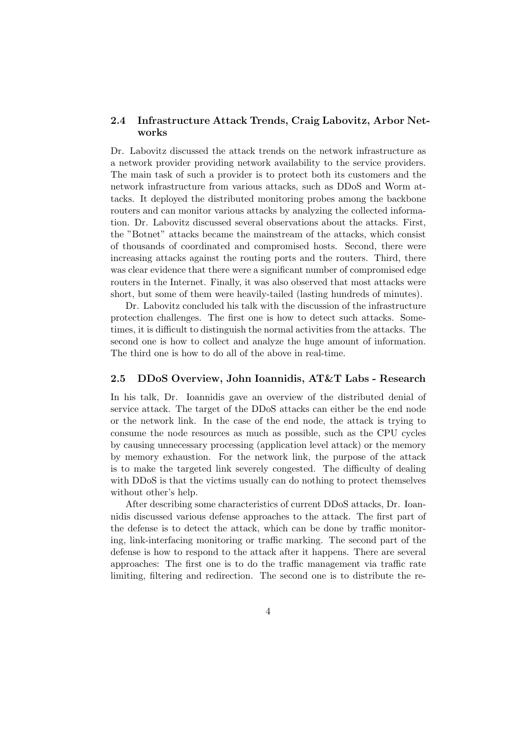#### 2.4 Infrastructure Attack Trends, Craig Labovitz, Arbor Networks

Dr. Labovitz discussed the attack trends on the network infrastructure as a network provider providing network availability to the service providers. The main task of such a provider is to protect both its customers and the network infrastructure from various attacks, such as DDoS and Worm attacks. It deployed the distributed monitoring probes among the backbone routers and can monitor various attacks by analyzing the collected information. Dr. Labovitz discussed several observations about the attacks. First, the "Botnet" attacks became the mainstream of the attacks, which consist of thousands of coordinated and compromised hosts. Second, there were increasing attacks against the routing ports and the routers. Third, there was clear evidence that there were a significant number of compromised edge routers in the Internet. Finally, it was also observed that most attacks were short, but some of them were heavily-tailed (lasting hundreds of minutes).

Dr. Labovitz concluded his talk with the discussion of the infrastructure protection challenges. The first one is how to detect such attacks. Sometimes, it is difficult to distinguish the normal activities from the attacks. The second one is how to collect and analyze the huge amount of information. The third one is how to do all of the above in real-time.

#### 2.5 DDoS Overview, John Ioannidis, AT&T Labs - Research

In his talk, Dr. Ioannidis gave an overview of the distributed denial of service attack. The target of the DDoS attacks can either be the end node or the network link. In the case of the end node, the attack is trying to consume the node resources as much as possible, such as the CPU cycles by causing unnecessary processing (application level attack) or the memory by memory exhaustion. For the network link, the purpose of the attack is to make the targeted link severely congested. The difficulty of dealing with DDoS is that the victims usually can do nothing to protect themselves without other's help.

After describing some characteristics of current DDoS attacks, Dr. Ioannidis discussed various defense approaches to the attack. The first part of the defense is to detect the attack, which can be done by traffic monitoring, link-interfacing monitoring or traffic marking. The second part of the defense is how to respond to the attack after it happens. There are several approaches: The first one is to do the traffic management via traffic rate limiting, filtering and redirection. The second one is to distribute the re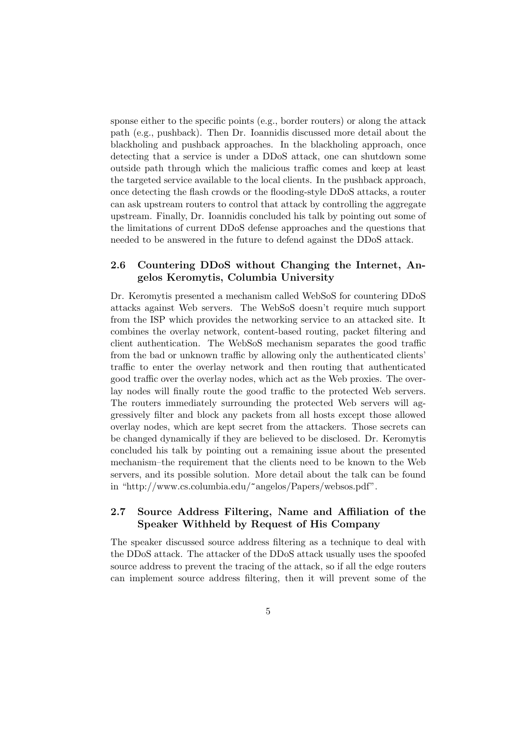sponse either to the specific points (e.g., border routers) or along the attack path (e.g., pushback). Then Dr. Ioannidis discussed more detail about the blackholing and pushback approaches. In the blackholing approach, once detecting that a service is under a DDoS attack, one can shutdown some outside path through which the malicious traffic comes and keep at least the targeted service available to the local clients. In the pushback approach, once detecting the flash crowds or the flooding-style DDoS attacks, a router can ask upstream routers to control that attack by controlling the aggregate upstream. Finally, Dr. Ioannidis concluded his talk by pointing out some of the limitations of current DDoS defense approaches and the questions that needed to be answered in the future to defend against the DDoS attack.

### 2.6 Countering DDoS without Changing the Internet, Angelos Keromytis, Columbia University

Dr. Keromytis presented a mechanism called WebSoS for countering DDoS attacks against Web servers. The WebSoS doesn't require much support from the ISP which provides the networking service to an attacked site. It combines the overlay network, content-based routing, packet filtering and client authentication. The WebSoS mechanism separates the good traffic from the bad or unknown traffic by allowing only the authenticated clients' traffic to enter the overlay network and then routing that authenticated good traffic over the overlay nodes, which act as the Web proxies. The overlay nodes will finally route the good traffic to the protected Web servers. The routers immediately surrounding the protected Web servers will aggressively filter and block any packets from all hosts except those allowed overlay nodes, which are kept secret from the attackers. Those secrets can be changed dynamically if they are believed to be disclosed. Dr. Keromytis concluded his talk by pointing out a remaining issue about the presented mechanism–the requirement that the clients need to be known to the Web servers, and its possible solution. More detail about the talk can be found in "http://www.cs.columbia.edu/~angelos/Papers/websos.pdf".

#### 2.7 Source Address Filtering, Name and Affiliation of the Speaker Withheld by Request of His Company

The speaker discussed source address filtering as a technique to deal with the DDoS attack. The attacker of the DDoS attack usually uses the spoofed source address to prevent the tracing of the attack, so if all the edge routers can implement source address filtering, then it will prevent some of the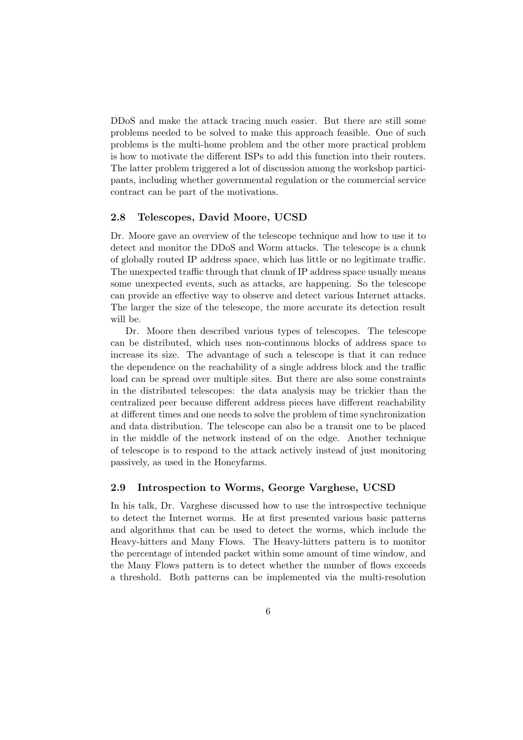DDoS and make the attack tracing much easier. But there are still some problems needed to be solved to make this approach feasible. One of such problems is the multi-home problem and the other more practical problem is how to motivate the different ISPs to add this function into their routers. The latter problem triggered a lot of discussion among the workshop participants, including whether governmental regulation or the commercial service contract can be part of the motivations.

#### 2.8 Telescopes, David Moore, UCSD

Dr. Moore gave an overview of the telescope technique and how to use it to detect and monitor the DDoS and Worm attacks. The telescope is a chunk of globally routed IP address space, which has little or no legitimate traffic. The unexpected traffic through that chunk of IP address space usually means some unexpected events, such as attacks, are happening. So the telescope can provide an effective way to observe and detect various Internet attacks. The larger the size of the telescope, the more accurate its detection result will be.

Dr. Moore then described various types of telescopes. The telescope can be distributed, which uses non-continuous blocks of address space to increase its size. The advantage of such a telescope is that it can reduce the dependence on the reachability of a single address block and the traffic load can be spread over multiple sites. But there are also some constraints in the distributed telescopes: the data analysis may be trickier than the centralized peer because different address pieces have different reachability at different times and one needs to solve the problem of time synchronization and data distribution. The telescope can also be a transit one to be placed in the middle of the network instead of on the edge. Another technique of telescope is to respond to the attack actively instead of just monitoring passively, as used in the Honeyfarms.

#### 2.9 Introspection to Worms, George Varghese, UCSD

In his talk, Dr. Varghese discussed how to use the introspective technique to detect the Internet worms. He at first presented various basic patterns and algorithms that can be used to detect the worms, which include the Heavy-hitters and Many Flows. The Heavy-hitters pattern is to monitor the percentage of intended packet within some amount of time window, and the Many Flows pattern is to detect whether the number of flows exceeds a threshold. Both patterns can be implemented via the multi-resolution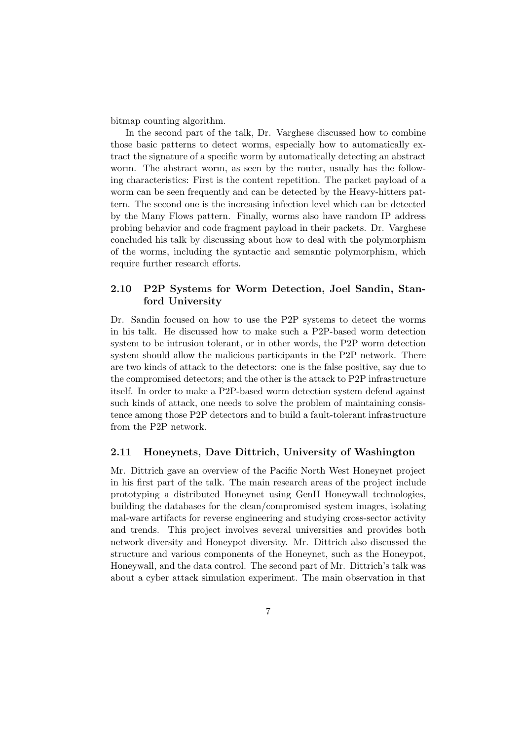bitmap counting algorithm.

In the second part of the talk, Dr. Varghese discussed how to combine those basic patterns to detect worms, especially how to automatically extract the signature of a specific worm by automatically detecting an abstract worm. The abstract worm, as seen by the router, usually has the following characteristics: First is the content repetition. The packet payload of a worm can be seen frequently and can be detected by the Heavy-hitters pattern. The second one is the increasing infection level which can be detected by the Many Flows pattern. Finally, worms also have random IP address probing behavior and code fragment payload in their packets. Dr. Varghese concluded his talk by discussing about how to deal with the polymorphism of the worms, including the syntactic and semantic polymorphism, which require further research efforts.

## 2.10 P2P Systems for Worm Detection, Joel Sandin, Stanford University

Dr. Sandin focused on how to use the P2P systems to detect the worms in his talk. He discussed how to make such a P2P-based worm detection system to be intrusion tolerant, or in other words, the P2P worm detection system should allow the malicious participants in the P2P network. There are two kinds of attack to the detectors: one is the false positive, say due to the compromised detectors; and the other is the attack to P2P infrastructure itself. In order to make a P2P-based worm detection system defend against such kinds of attack, one needs to solve the problem of maintaining consistence among those P2P detectors and to build a fault-tolerant infrastructure from the P2P network.

#### 2.11 Honeynets, Dave Dittrich, University of Washington

Mr. Dittrich gave an overview of the Pacific North West Honeynet project in his first part of the talk. The main research areas of the project include prototyping a distributed Honeynet using GenII Honeywall technologies, building the databases for the clean/compromised system images, isolating mal-ware artifacts for reverse engineering and studying cross-sector activity and trends. This project involves several universities and provides both network diversity and Honeypot diversity. Mr. Dittrich also discussed the structure and various components of the Honeynet, such as the Honeypot, Honeywall, and the data control. The second part of Mr. Dittrich's talk was about a cyber attack simulation experiment. The main observation in that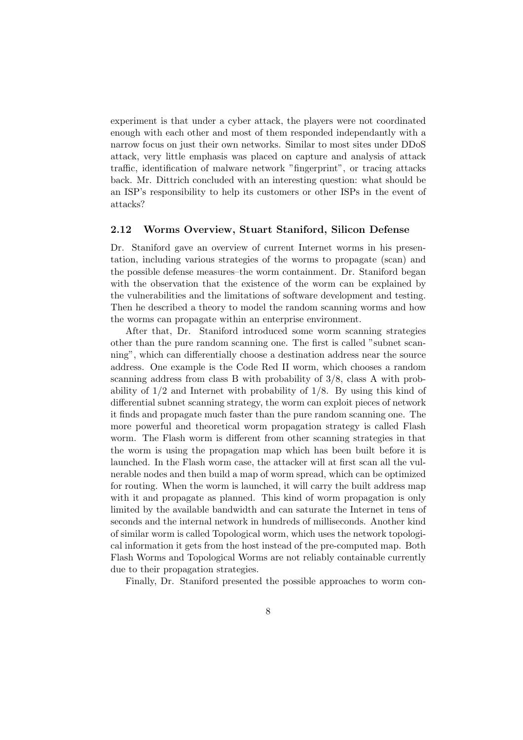experiment is that under a cyber attack, the players were not coordinated enough with each other and most of them responded independantly with a narrow focus on just their own networks. Similar to most sites under DDoS attack, very little emphasis was placed on capture and analysis of attack traffic, identification of malware network "fingerprint", or tracing attacks back. Mr. Dittrich concluded with an interesting question: what should be an ISP's responsibility to help its customers or other ISPs in the event of attacks?

#### 2.12 Worms Overview, Stuart Staniford, Silicon Defense

Dr. Staniford gave an overview of current Internet worms in his presentation, including various strategies of the worms to propagate (scan) and the possible defense measures–the worm containment. Dr. Staniford began with the observation that the existence of the worm can be explained by the vulnerabilities and the limitations of software development and testing. Then he described a theory to model the random scanning worms and how the worms can propagate within an enterprise environment.

After that, Dr. Staniford introduced some worm scanning strategies other than the pure random scanning one. The first is called "subnet scanning", which can differentially choose a destination address near the source address. One example is the Code Red II worm, which chooses a random scanning address from class B with probability of 3/8, class A with probability of 1/2 and Internet with probability of 1/8. By using this kind of differential subnet scanning strategy, the worm can exploit pieces of network it finds and propagate much faster than the pure random scanning one. The more powerful and theoretical worm propagation strategy is called Flash worm. The Flash worm is different from other scanning strategies in that the worm is using the propagation map which has been built before it is launched. In the Flash worm case, the attacker will at first scan all the vulnerable nodes and then build a map of worm spread, which can be optimized for routing. When the worm is launched, it will carry the built address map with it and propagate as planned. This kind of worm propagation is only limited by the available bandwidth and can saturate the Internet in tens of seconds and the internal network in hundreds of milliseconds. Another kind of similar worm is called Topological worm, which uses the network topological information it gets from the host instead of the pre-computed map. Both Flash Worms and Topological Worms are not reliably containable currently due to their propagation strategies.

Finally, Dr. Staniford presented the possible approaches to worm con-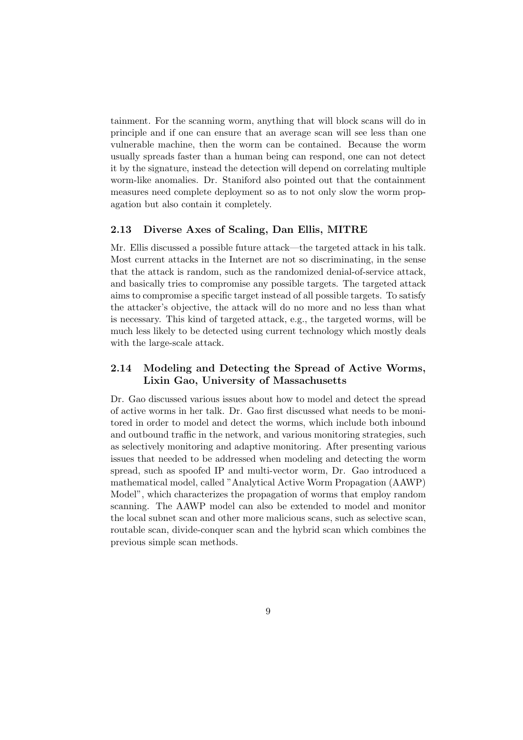tainment. For the scanning worm, anything that will block scans will do in principle and if one can ensure that an average scan will see less than one vulnerable machine, then the worm can be contained. Because the worm usually spreads faster than a human being can respond, one can not detect it by the signature, instead the detection will depend on correlating multiple worm-like anomalies. Dr. Staniford also pointed out that the containment measures need complete deployment so as to not only slow the worm propagation but also contain it completely.

#### 2.13 Diverse Axes of Scaling, Dan Ellis, MITRE

Mr. Ellis discussed a possible future attack—the targeted attack in his talk. Most current attacks in the Internet are not so discriminating, in the sense that the attack is random, such as the randomized denial-of-service attack, and basically tries to compromise any possible targets. The targeted attack aims to compromise a specific target instead of all possible targets. To satisfy the attacker's objective, the attack will do no more and no less than what is necessary. This kind of targeted attack, e.g., the targeted worms, will be much less likely to be detected using current technology which mostly deals with the large-scale attack.

## 2.14 Modeling and Detecting the Spread of Active Worms, Lixin Gao, University of Massachusetts

Dr. Gao discussed various issues about how to model and detect the spread of active worms in her talk. Dr. Gao first discussed what needs to be monitored in order to model and detect the worms, which include both inbound and outbound traffic in the network, and various monitoring strategies, such as selectively monitoring and adaptive monitoring. After presenting various issues that needed to be addressed when modeling and detecting the worm spread, such as spoofed IP and multi-vector worm, Dr. Gao introduced a mathematical model, called "Analytical Active Worm Propagation (AAWP) Model", which characterizes the propagation of worms that employ random scanning. The AAWP model can also be extended to model and monitor the local subnet scan and other more malicious scans, such as selective scan, routable scan, divide-conquer scan and the hybrid scan which combines the previous simple scan methods.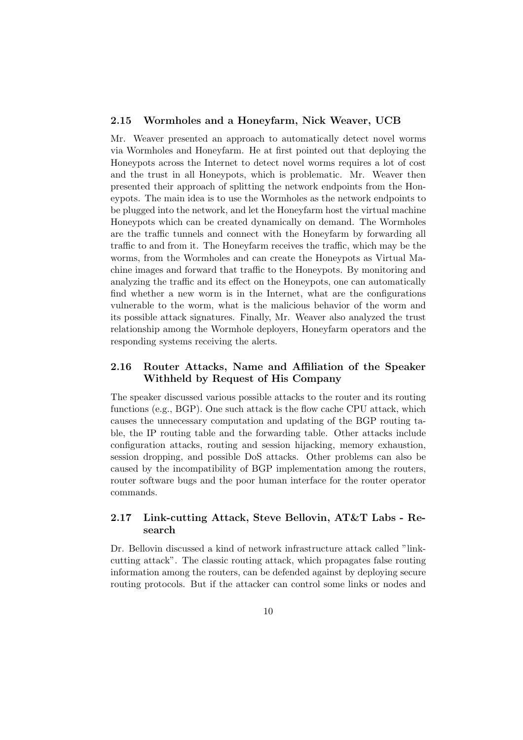#### 2.15 Wormholes and a Honeyfarm, Nick Weaver, UCB

Mr. Weaver presented an approach to automatically detect novel worms via Wormholes and Honeyfarm. He at first pointed out that deploying the Honeypots across the Internet to detect novel worms requires a lot of cost and the trust in all Honeypots, which is problematic. Mr. Weaver then presented their approach of splitting the network endpoints from the Honeypots. The main idea is to use the Wormholes as the network endpoints to be plugged into the network, and let the Honeyfarm host the virtual machine Honeypots which can be created dynamically on demand. The Wormholes are the traffic tunnels and connect with the Honeyfarm by forwarding all traffic to and from it. The Honeyfarm receives the traffic, which may be the worms, from the Wormholes and can create the Honeypots as Virtual Machine images and forward that traffic to the Honeypots. By monitoring and analyzing the traffic and its effect on the Honeypots, one can automatically find whether a new worm is in the Internet, what are the configurations vulnerable to the worm, what is the malicious behavior of the worm and its possible attack signatures. Finally, Mr. Weaver also analyzed the trust relationship among the Wormhole deployers, Honeyfarm operators and the responding systems receiving the alerts.

#### 2.16 Router Attacks, Name and Affiliation of the Speaker Withheld by Request of His Company

The speaker discussed various possible attacks to the router and its routing functions (e.g., BGP). One such attack is the flow cache CPU attack, which causes the unnecessary computation and updating of the BGP routing table, the IP routing table and the forwarding table. Other attacks include configuration attacks, routing and session hijacking, memory exhaustion, session dropping, and possible DoS attacks. Other problems can also be caused by the incompatibility of BGP implementation among the routers, router software bugs and the poor human interface for the router operator commands.

## 2.17 Link-cutting Attack, Steve Bellovin, AT&T Labs - Research

Dr. Bellovin discussed a kind of network infrastructure attack called "linkcutting attack". The classic routing attack, which propagates false routing information among the routers, can be defended against by deploying secure routing protocols. But if the attacker can control some links or nodes and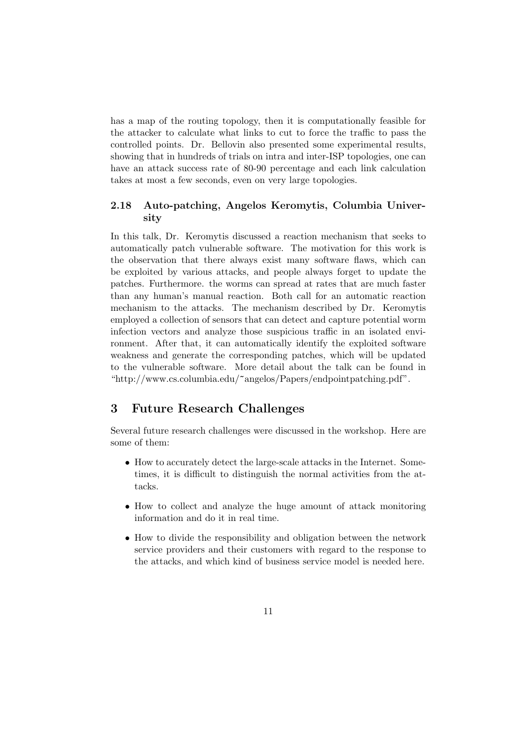has a map of the routing topology, then it is computationally feasible for the attacker to calculate what links to cut to force the traffic to pass the controlled points. Dr. Bellovin also presented some experimental results, showing that in hundreds of trials on intra and inter-ISP topologies, one can have an attack success rate of 80-90 percentage and each link calculation takes at most a few seconds, even on very large topologies.

## 2.18 Auto-patching, Angelos Keromytis, Columbia University

In this talk, Dr. Keromytis discussed a reaction mechanism that seeks to automatically patch vulnerable software. The motivation for this work is the observation that there always exist many software flaws, which can be exploited by various attacks, and people always forget to update the patches. Furthermore. the worms can spread at rates that are much faster than any human's manual reaction. Both call for an automatic reaction mechanism to the attacks. The mechanism described by Dr. Keromytis employed a collection of sensors that can detect and capture potential worm infection vectors and analyze those suspicious traffic in an isolated environment. After that, it can automatically identify the exploited software weakness and generate the corresponding patches, which will be updated to the vulnerable software. More detail about the talk can be found in "http://www.cs.columbia.edu/~angelos/Papers/endpointpatching.pdf".

# 3 Future Research Challenges

Several future research challenges were discussed in the workshop. Here are some of them:

- How to accurately detect the large-scale attacks in the Internet. Sometimes, it is difficult to distinguish the normal activities from the attacks.
- How to collect and analyze the huge amount of attack monitoring information and do it in real time.
- How to divide the responsibility and obligation between the network service providers and their customers with regard to the response to the attacks, and which kind of business service model is needed here.